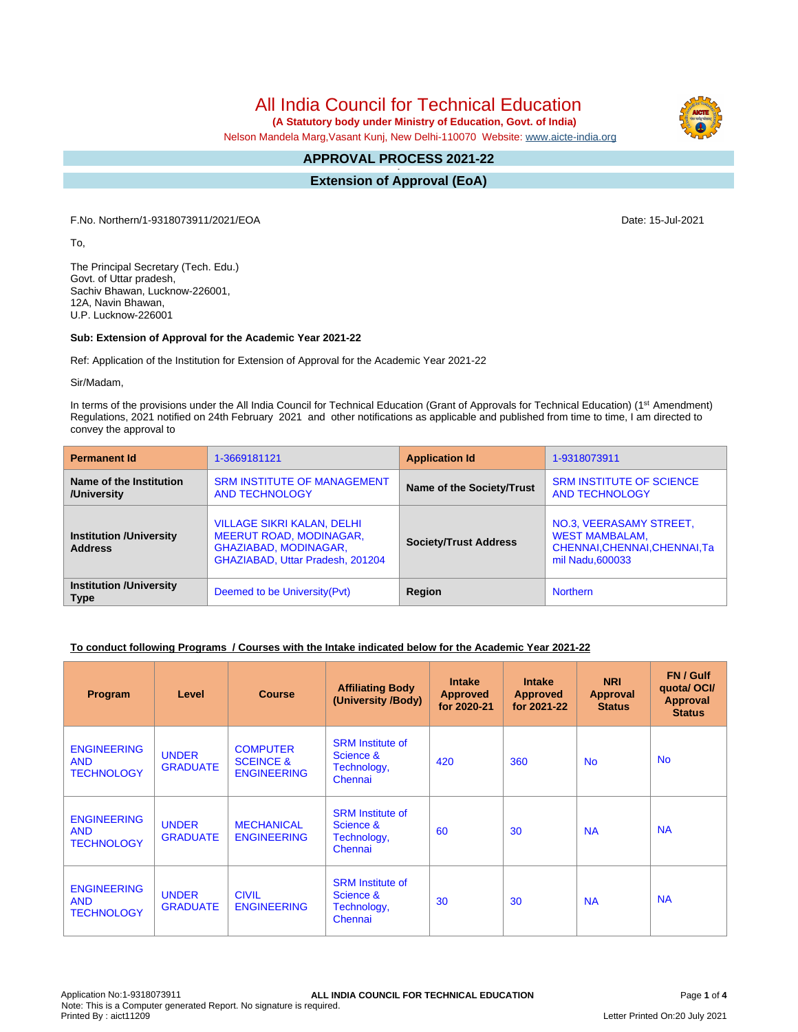All India Council for Technical Education

 **(A Statutory body under Ministry of Education, Govt. of India)**

Nelson Mandela Marg,Vasant Kunj, New Delhi-110070 Website: [www.aicte-india.org](http://www.aicte-india.org)

#### **APPROVAL PROCESS 2021-22 -**

**Extension of Approval (EoA)**

F.No. Northern/1-9318073911/2021/EOA Date: 15-Jul-2021

To,

The Principal Secretary (Tech. Edu.) Govt. of Uttar pradesh, Sachiv Bhawan, Lucknow-226001, 12A, Navin Bhawan, U.P. Lucknow-226001

#### **Sub: Extension of Approval for the Academic Year 2021-22**

Ref: Application of the Institution for Extension of Approval for the Academic Year 2021-22

Sir/Madam,

In terms of the provisions under the All India Council for Technical Education (Grant of Approvals for Technical Education) (1<sup>st</sup> Amendment) Regulations, 2021 notified on 24th February 2021 and other notifications as applicable and published from time to time, I am directed to convey the approval to

| <b>Permanent Id</b>                              | 1-3669181121                                                                                                                     | <b>Application Id</b>            | 1-9318073911                                                                                          |  |
|--------------------------------------------------|----------------------------------------------------------------------------------------------------------------------------------|----------------------------------|-------------------------------------------------------------------------------------------------------|--|
| Name of the Institution<br>/University           | <b>SRM INSTITUTE OF MANAGEMENT</b><br><b>AND TECHNOLOGY</b>                                                                      | <b>Name of the Society/Trust</b> | <b>SRM INSTITUTE OF SCIENCE</b><br><b>AND TECHNOLOGY</b>                                              |  |
| <b>Institution /University</b><br><b>Address</b> | <b>VILLAGE SIKRI KALAN, DELHI</b><br><b>MEERUT ROAD, MODINAGAR,</b><br>GHAZIABAD, MODINAGAR,<br>GHAZIABAD, Uttar Pradesh, 201204 | <b>Society/Trust Address</b>     | NO.3, VEERASAMY STREET,<br><b>WEST MAMBALAM,</b><br>CHENNAI, CHENNAI, CHENNAI, Ta<br>mil Nadu, 600033 |  |
| <b>Institution /University</b><br><b>Type</b>    | Deemed to be University (Pvt)                                                                                                    | Region                           | <b>Northern</b>                                                                                       |  |

#### **To conduct following Programs / Courses with the Intake indicated below for the Academic Year 2021-22**

| Program                                               | Level                           | <b>Course</b>                                                 | <b>Affiliating Body</b><br>(University /Body)                  | <b>Intake</b><br><b>Approved</b><br>for 2020-21 | <b>Intake</b><br><b>Approved</b><br>for 2021-22 | <b>NRI</b><br>Approval<br><b>Status</b> | FN / Gulf<br>quotal OCI/<br><b>Approval</b><br><b>Status</b> |
|-------------------------------------------------------|---------------------------------|---------------------------------------------------------------|----------------------------------------------------------------|-------------------------------------------------|-------------------------------------------------|-----------------------------------------|--------------------------------------------------------------|
| <b>ENGINEERING</b><br><b>AND</b><br><b>TECHNOLOGY</b> | <b>UNDER</b><br><b>GRADUATE</b> | <b>COMPUTER</b><br><b>SCEINCE &amp;</b><br><b>ENGINEERING</b> | <b>SRM</b> Institute of<br>Science &<br>Technology,<br>Chennai | 420                                             | 360                                             | N <sub>o</sub>                          | <b>No</b>                                                    |
| <b>ENGINEERING</b><br><b>AND</b><br><b>TECHNOLOGY</b> | <b>UNDER</b><br><b>GRADUATE</b> | <b>MECHANICAL</b><br><b>ENGINEERING</b>                       | <b>SRM</b> Institute of<br>Science &<br>Technology,<br>Chennai | 60                                              | 30                                              | <b>NA</b>                               | <b>NA</b>                                                    |
| <b>ENGINEERING</b><br><b>AND</b><br><b>TECHNOLOGY</b> | <b>UNDER</b><br><b>GRADUATE</b> | <b>CIVIL</b><br><b>ENGINEERING</b>                            | <b>SRM Institute of</b><br>Science &<br>Technology,<br>Chennai | 30                                              | 30                                              | <b>NA</b>                               | <b>NA</b>                                                    |

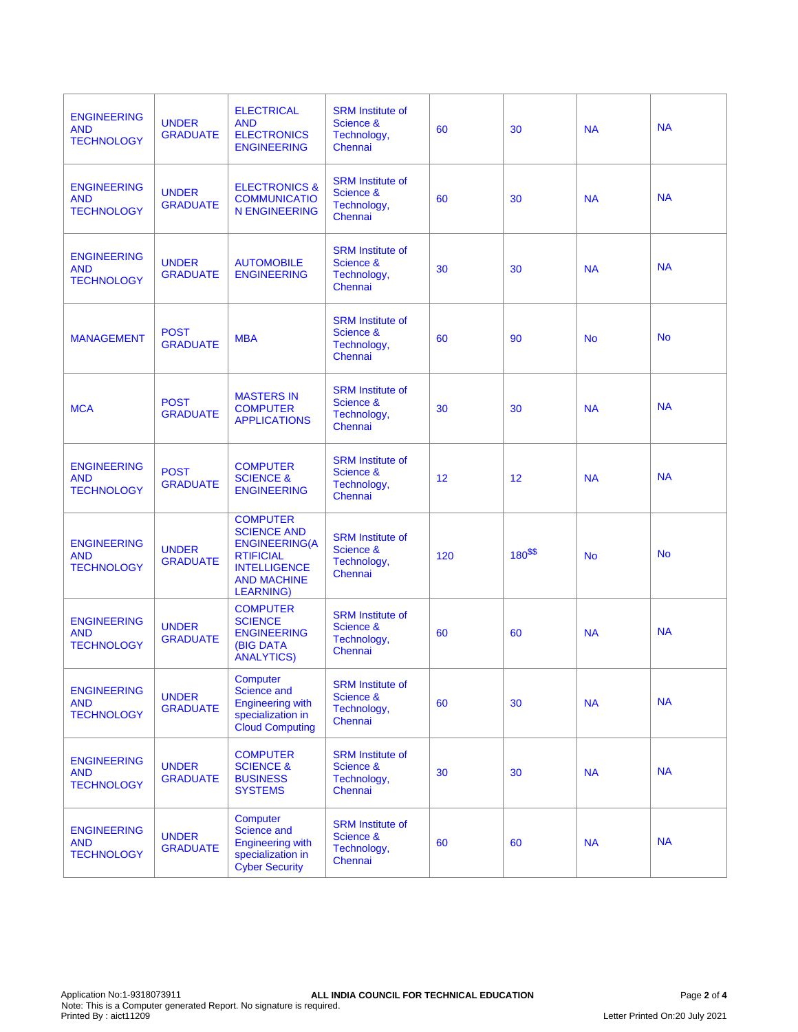| <b>ENGINEERING</b><br><b>AND</b><br><b>TECHNOLOGY</b> | <b>UNDER</b><br><b>GRADUATE</b> | <b>ELECTRICAL</b><br><b>AND</b><br><b>ELECTRONICS</b><br><b>ENGINEERING</b>                                                                         | <b>SRM</b> Institute of<br>Science &<br>Technology,<br>Chennai | 60  | 30         | <b>NA</b> | <b>NA</b> |
|-------------------------------------------------------|---------------------------------|-----------------------------------------------------------------------------------------------------------------------------------------------------|----------------------------------------------------------------|-----|------------|-----------|-----------|
| <b>ENGINEERING</b><br><b>AND</b><br><b>TECHNOLOGY</b> | <b>UNDER</b><br><b>GRADUATE</b> | <b>ELECTRONICS &amp;</b><br><b>COMMUNICATIO</b><br><b>N ENGINEERING</b>                                                                             | <b>SRM</b> Institute of<br>Science &<br>Technology,<br>Chennai | 60  | 30         | <b>NA</b> | <b>NA</b> |
| <b>ENGINEERING</b><br><b>AND</b><br><b>TECHNOLOGY</b> | <b>UNDER</b><br><b>GRADUATE</b> | <b>AUTOMOBILE</b><br><b>ENGINEERING</b>                                                                                                             | <b>SRM</b> Institute of<br>Science &<br>Technology,<br>Chennai | 30  | 30         | <b>NA</b> | <b>NA</b> |
| <b>MANAGEMENT</b>                                     | <b>POST</b><br><b>GRADUATE</b>  | <b>MBA</b>                                                                                                                                          | <b>SRM</b> Institute of<br>Science &<br>Technology,<br>Chennai | 60  | 90         | <b>No</b> | <b>No</b> |
| <b>MCA</b>                                            | <b>POST</b><br><b>GRADUATE</b>  | <b>MASTERS IN</b><br><b>COMPUTER</b><br><b>APPLICATIONS</b>                                                                                         | <b>SRM Institute of</b><br>Science &<br>Technology,<br>Chennai | 30  | 30         | <b>NA</b> | <b>NA</b> |
| <b>ENGINEERING</b><br><b>AND</b><br><b>TECHNOLOGY</b> | <b>POST</b><br><b>GRADUATE</b>  | <b>COMPUTER</b><br><b>SCIENCE &amp;</b><br><b>ENGINEERING</b>                                                                                       | <b>SRM</b> Institute of<br>Science &<br>Technology,<br>Chennai | 12  | 12         | <b>NA</b> | <b>NA</b> |
| <b>ENGINEERING</b><br><b>AND</b><br><b>TECHNOLOGY</b> | <b>UNDER</b><br><b>GRADUATE</b> | <b>COMPUTER</b><br><b>SCIENCE AND</b><br><b>ENGINEERING(A</b><br><b>RTIFICIAL</b><br><b>INTELLIGENCE</b><br><b>AND MACHINE</b><br><b>LEARNING</b> ) | <b>SRM</b> Institute of<br>Science &<br>Technology,<br>Chennai | 120 | $180^{15}$ | <b>No</b> | <b>No</b> |
| <b>ENGINEERING</b><br><b>AND</b><br><b>TECHNOLOGY</b> | <b>UNDER</b><br><b>GRADUATE</b> | <b>COMPUTER</b><br><b>SCIENCE</b><br><b>ENGINEERING</b><br><b>(BIG DATA</b><br><b>ANALYTICS</b>                                                     | <b>SRM</b> Institute of<br>Science &<br>Technology,<br>Chennai | 60  | 60         | <b>NA</b> | <b>NA</b> |
| <b>ENGINEERING</b><br><b>AND</b><br><b>TECHNOLOGY</b> | <b>UNDER</b><br><b>GRADUATE</b> | Computer<br>Science and<br><b>Engineering with</b><br>specialization in<br><b>Cloud Computing</b>                                                   | <b>SRM Institute of</b><br>Science &<br>Technology,<br>Chennai | 60  | 30         | <b>NA</b> | <b>NA</b> |
| <b>ENGINEERING</b><br><b>AND</b><br><b>TECHNOLOGY</b> | <b>UNDER</b><br><b>GRADUATE</b> | <b>COMPUTER</b><br><b>SCIENCE &amp;</b><br><b>BUSINESS</b><br><b>SYSTEMS</b>                                                                        | <b>SRM</b> Institute of<br>Science &<br>Technology,<br>Chennai | 30  | 30         | <b>NA</b> | <b>NA</b> |
| <b>ENGINEERING</b><br><b>AND</b><br><b>TECHNOLOGY</b> | <b>UNDER</b><br><b>GRADUATE</b> | Computer<br>Science and<br><b>Engineering with</b><br>specialization in<br><b>Cyber Security</b>                                                    | <b>SRM Institute of</b><br>Science &<br>Technology,<br>Chennai | 60  | 60         | <b>NA</b> | <b>NA</b> |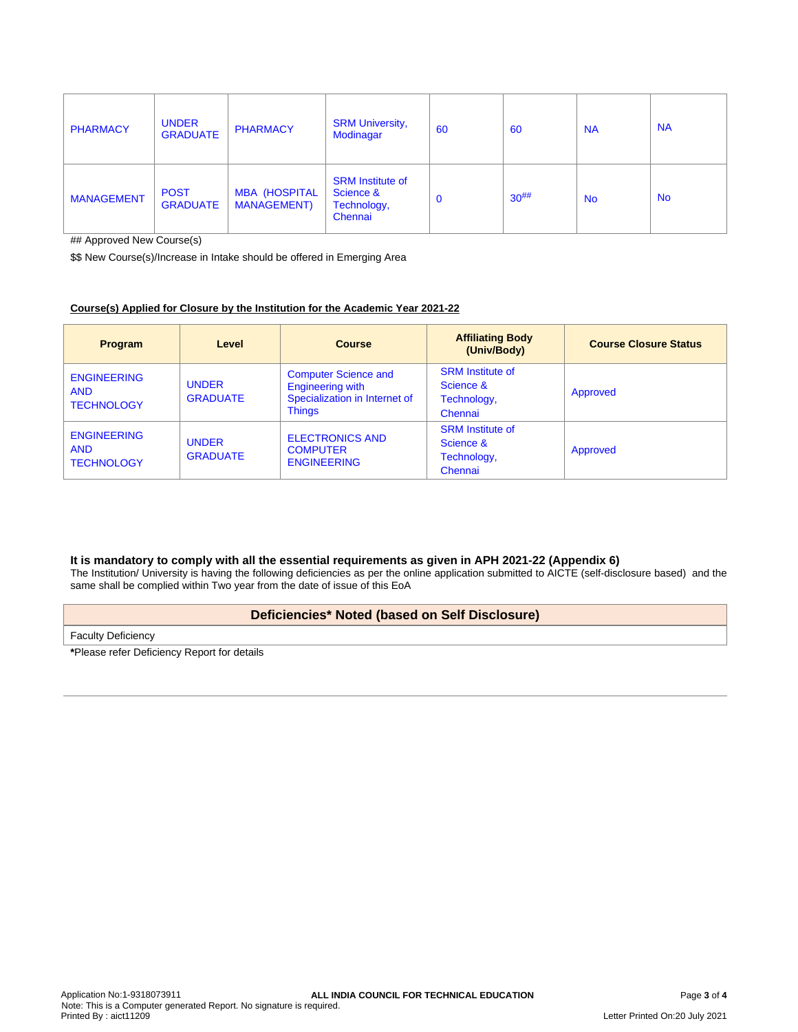| <b>PHARMACY</b>   | <b>UNDER</b><br><b>GRADUATE</b> | <b>PHARMACY</b>                             | <b>SRM University,</b><br><b>Modinagar</b>                     | 60          | 60         | <b>NA</b> | <b>NA</b> |
|-------------------|---------------------------------|---------------------------------------------|----------------------------------------------------------------|-------------|------------|-----------|-----------|
| <b>MANAGEMENT</b> | <b>POST</b><br><b>GRADUATE</b>  | <b>MBA (HOSPITAL</b><br><b>MANAGEMENT</b> ) | <b>SRM Institute of</b><br>Science &<br>Technology,<br>Chennai | $\mathbf 0$ | $30^{#}\%$ | <b>No</b> | <b>No</b> |

## Approved New Course(s)

\$\$ New Course(s)/Increase in Intake should be offered in Emerging Area

# **Course(s) Applied for Closure by the Institution for the Academic Year 2021-22**

| <b>Program</b>                                        | Level                           | Course                                                                                                   | <b>Affiliating Body</b><br>(Univ/Body)                         | <b>Course Closure Status</b> |
|-------------------------------------------------------|---------------------------------|----------------------------------------------------------------------------------------------------------|----------------------------------------------------------------|------------------------------|
| <b>ENGINEERING</b><br><b>AND</b><br><b>TECHNOLOGY</b> | <b>UNDER</b><br><b>GRADUATE</b> | <b>Computer Science and</b><br><b>Engineering with</b><br>Specialization in Internet of<br><b>Things</b> | <b>SRM</b> Institute of<br>Science &<br>Technology,<br>Chennai | Approved                     |
| <b>ENGINEERING</b><br><b>AND</b><br><b>TECHNOLOGY</b> | <b>UNDER</b><br><b>GRADUATE</b> | <b>ELECTRONICS AND</b><br><b>COMPUTER</b><br><b>ENGINEERING</b>                                          | <b>SRM</b> Institute of<br>Science &<br>Technology,<br>Chennai | Approved                     |

# **It is mandatory to comply with all the essential requirements as given in APH 2021-22 (Appendix 6)**

The Institution/ University is having the following deficiencies as per the online application submitted to AICTE (self-disclosure based) and the same shall be complied within Two year from the date of issue of this EoA

# **Deficiencies\* Noted (based on Self Disclosure)**

Faculty Deficiency

**\***Please refer Deficiency Report for details